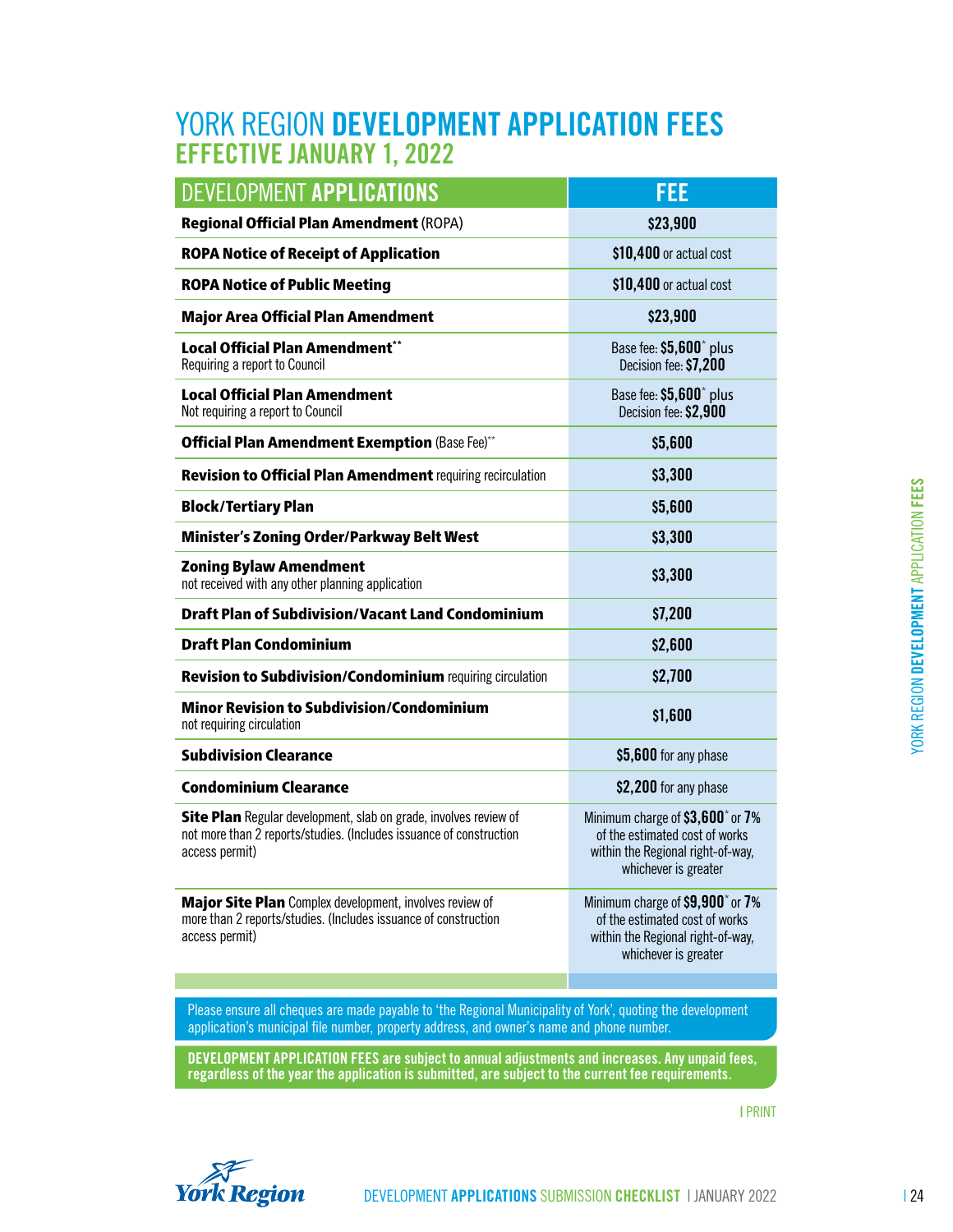## YORK REGION DEVELOPMENT APPLICATION FEES EFFECTIVE JANUARY 1, 2022

| DEVELOPMENT APPLICATIONS                                                                                                                                                                                | FEE                                                                                                                                         |
|---------------------------------------------------------------------------------------------------------------------------------------------------------------------------------------------------------|---------------------------------------------------------------------------------------------------------------------------------------------|
| <b>Regional Official Plan Amendment (ROPA)</b>                                                                                                                                                          | \$23,900                                                                                                                                    |
| <b>ROPA Notice of Receipt of Application</b>                                                                                                                                                            | \$10,400 or actual cost                                                                                                                     |
| <b>ROPA Notice of Public Meeting</b>                                                                                                                                                                    | \$10,400 or actual cost                                                                                                                     |
| <b>Major Area Official Plan Amendment</b>                                                                                                                                                               | \$23,900                                                                                                                                    |
| Local Official Plan Amendment**<br>Requiring a report to Council                                                                                                                                        | Base fee: \$5,600 <sup>*</sup> plus<br>Decision fee: \$7,200                                                                                |
| <b>Local Official Plan Amendment</b><br>Not requiring a report to Council                                                                                                                               | Base fee: \$5,600 <sup>*</sup> plus<br>Decision fee: \$2,900                                                                                |
| <b>Official Plan Amendment Exemption (Base Fee)**</b>                                                                                                                                                   | \$5,600                                                                                                                                     |
| <b>Revision to Official Plan Amendment requiring recirculation</b>                                                                                                                                      | \$3,300                                                                                                                                     |
| <b>Block/Tertiary Plan</b>                                                                                                                                                                              | \$5,600                                                                                                                                     |
| <b>Minister's Zoning Order/Parkway Belt West</b>                                                                                                                                                        | \$3,300                                                                                                                                     |
| <b>Zoning Bylaw Amendment</b><br>not received with any other planning application                                                                                                                       | \$3,300                                                                                                                                     |
| <b>Draft Plan of Subdivision/Vacant Land Condominium</b>                                                                                                                                                | \$7,200                                                                                                                                     |
| <b>Draft Plan Condominium</b>                                                                                                                                                                           | \$2,600                                                                                                                                     |
| Revision to Subdivision/Condominium requiring circulation                                                                                                                                               | \$2,700                                                                                                                                     |
| <b>Minor Revision to Subdivision/Condominium</b><br>not requiring circulation                                                                                                                           | \$1,600                                                                                                                                     |
| <b>Subdivision Clearance</b>                                                                                                                                                                            | \$5,600 for any phase                                                                                                                       |
| <b>Condominium Clearance</b>                                                                                                                                                                            | \$2,200 for any phase                                                                                                                       |
| Site Plan Regular development, slab on grade, involves review of<br>not more than 2 reports/studies. (Includes issuance of construction<br>access permit)                                               | Minimum charge of \$3,600 <sup>*</sup> or 7%<br>of the estimated cost of works<br>within the Regional right-of-way,<br>whichever is greater |
| Major Site Plan Complex development, involves review of<br>more than 2 reports/studies. (Includes issuance of construction<br>access permit)                                                            | Minimum charge of \$9,900 <sup>*</sup> or 7%<br>of the estimated cost of works<br>within the Regional right-of-way,<br>whichever is greater |
|                                                                                                                                                                                                         |                                                                                                                                             |
| Please ensure all cheques are made payable to 'the Regional Municipality of York', quoting the development<br>application's municipal file number, property address, and owner's name and phone number. |                                                                                                                                             |
| DEVELOPMENT APPLICATION FEES are subject to annual adjustments and increases. Any unpaid fees,<br>regardless of the year the application is submitted, are subject to the current fee requirements.     |                                                                                                                                             |
|                                                                                                                                                                                                         | <b>I PRINT</b>                                                                                                                              |
|                                                                                                                                                                                                         |                                                                                                                                             |
| <b>York Region</b>                                                                                                                                                                                      | DEVELOPMENT APPLICATIONS SUBMISSION CHECKLIST   JANUARY 2022                                                                                |



**York Region**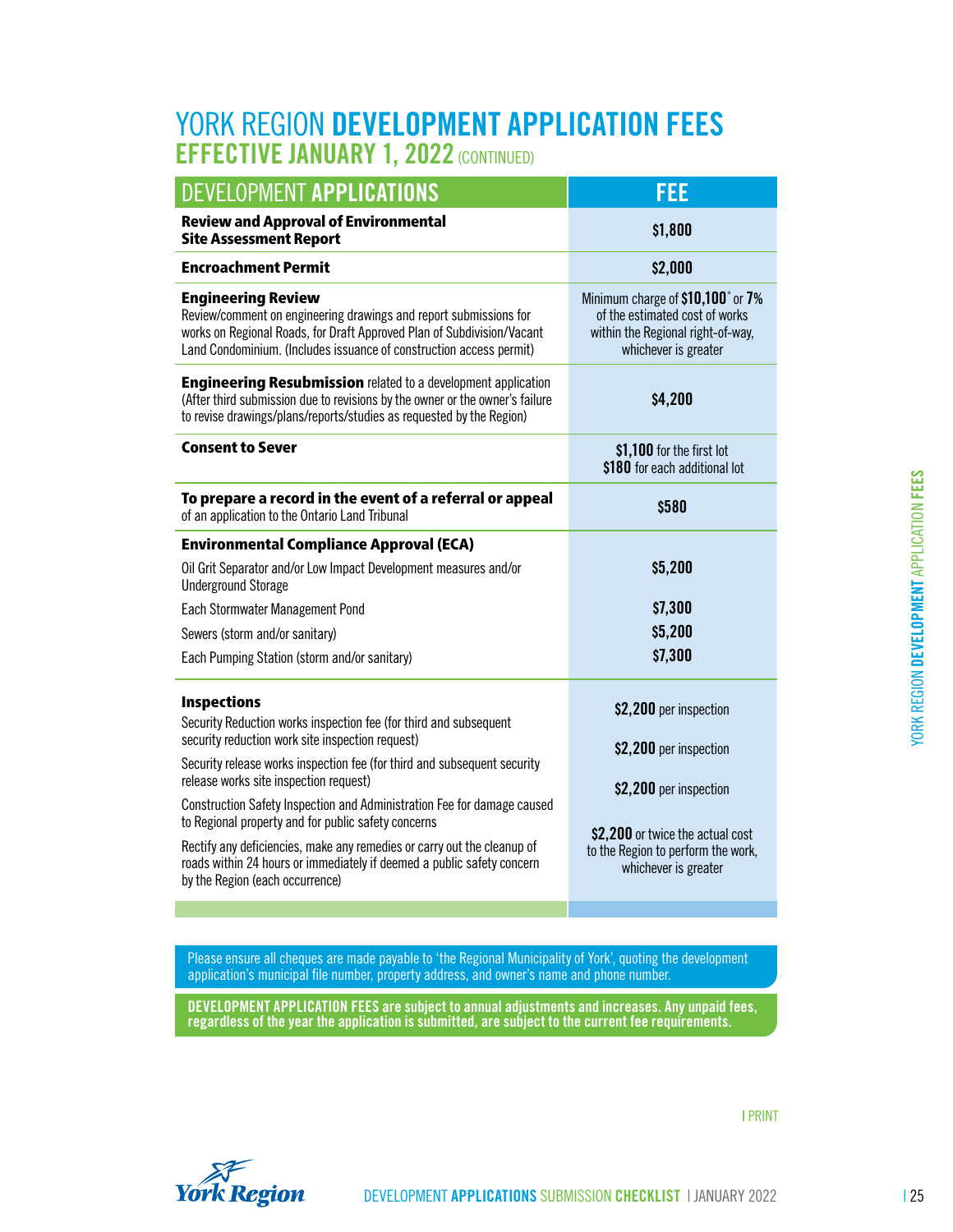## YORK REGION DEVELOPMENT APPLICATION FEES EFFECTIVE JANUARY 1, 2022 (CONTINUED)

| FEE                                                                                                                                                                          |  |
|------------------------------------------------------------------------------------------------------------------------------------------------------------------------------|--|
| \$1,800                                                                                                                                                                      |  |
| \$2,000                                                                                                                                                                      |  |
| Minimum charge of \$10,100* or 7%<br>of the estimated cost of works<br>within the Regional right-of-way,<br>whichever is greater                                             |  |
| \$4,200                                                                                                                                                                      |  |
| \$1,100 for the first lot<br>\$180 for each additional lot                                                                                                                   |  |
| \$580                                                                                                                                                                        |  |
|                                                                                                                                                                              |  |
| \$5,200                                                                                                                                                                      |  |
| \$7,300                                                                                                                                                                      |  |
| \$5,200                                                                                                                                                                      |  |
| \$7,300                                                                                                                                                                      |  |
| \$2,200 per inspection<br>\$2,200 per inspection<br>\$2,200 per inspection<br>\$2,200 or twice the actual cost<br>to the Region to perform the work,<br>whichever is greater |  |
|                                                                                                                                                                              |  |

Please ensure all cheques are made payable to 'the Regional Municipality of York', quoting the development application's municipal file number, property address, and owner's name and phone number.

DEVELOPMENT APPLICATION FEES are subject to annual adjustments and increases. Any unpaid fees, regardless of the year the application is submitted, are subject to the current fee requirements.



DEVELOPMENT APPLICATIONS SUBMISSION CHECKLIST | JANUARY 2022 | 25

| PRINT